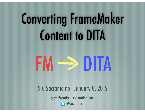# Converting FrameMaker Content to DITA



STC Sacramento - January 8, 2015

Scott Prentice, Leximation, Inc. **B** @saprentice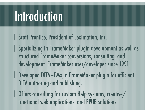#### Introduction

- Scott Prentice, President of Leximation, Inc.
- Specializing in FrameMaker plugin development as well as structured FrameMaker conversions, consulting, and development. FrameMaker user/developer since 1991.
- Developed DITA-FMx, a FrameMaker plugin for efficient DITA authoring and publishing.
- Offers consulting for custom Help systems, creative/ functional web applications, and EPUB solutions.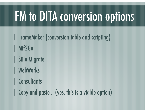# FM to DITA conversion options

FrameMaker (conversion table and scripting) Mif2Go Stilo Migrate WebWorks Consultants  $\vert$  Copy and paste .. (yes, this is a viable option)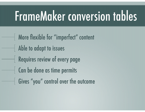#### FrameMaker conversion tables

More flexible for "imperfect" content Able to adapt to issues Requires review of every page Can be done as time permits Gives "you" control over the outcome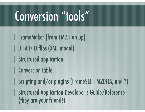## Conversion "tools"

FrameMaker (from FM7.1 on up) DITA DTD files (XML model) Structured application **Conversion table** Scripting and/or plugins (FrameSLT, FM2DITA, and ?) Structured Application Developer's Guide/Reference (they are your friend!)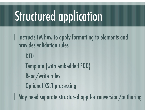## Structured application

- $\perp$  Instructs FM how to apply formatting to elements and provides validation rules
	- DTD
	- Template (with embedded EDD)
	- Read/write rules
		- Optional XSLT processing
- May need separate structured app for conversion/authoring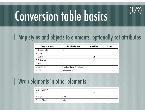# Conversion table basics

#### Map styles and objects to elements, optionally set attributes

(1/2)

| Wrap this object | In this element               | Qualifier | Notes |
|------------------|-------------------------------|-----------|-------|
| P:ChapterTitle   | title                         |           |       |
| P:Body           | р                             | LΟ        |       |
| P:Bullet1        | р                             | <b>B1</b> |       |
| P:BulletCont1    | р                             | ا 1∟      |       |
| C:Bold           | b                             |           |       |
| C:BoldItalic     | ph [outputclass="bolditalic"] |           |       |
| M:Index          | fm-indexterm                  |           |       |
|                  |                               |           |       |

#### Wrap elements in other elements

|  | $E:[B1],E:[L1]^*$                                       |       |    |  |
|--|---------------------------------------------------------|-------|----|--|
|  | $E:$ li+                                                | ul    | -0 |  |
|  | $\mathsf{I}\mathsf{E}:[\mathsf{L}\mathsf{D}]\mathsf{+}$ | body  |    |  |
|  | E:title, E:body                                         | topic |    |  |
|  |                                                         |       |    |  |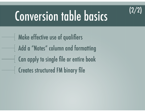

## Conversion table basics

Make effective use of qualifiers Add a "Notes" column and formatting Can apply to single file or entire book Creates structured FM binary file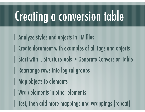## Creating a conversion table

Analyze styles and objects in FM files Create document with examples of all tags and objects Start with .. StructureTools > Generate Conversion Table Rearrange rows into logical groups **Map objects to elements** Wrap elements in other elements Test, then add more mappings and wrappings (repeat)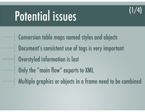#### (1/4)

#### Potential issues

Conversion table maps named styles and objects Document's consistent use of tags is very important Overstyled information is lost **Only the "main flow" exports to XML** Multiple graphics or objects in a frame need to be combined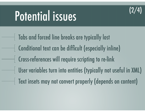

#### Potential issues

Tabs and forced line breaks are typically lost Conditional text can be difficult (especially inline) Cross-references will require scripting to re-link User variables turn into entities (typically not useful in XML) Text insets may not convert properly (depends on content)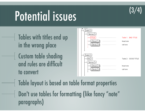

#### Potential issues

- Tables with titles end up in the wrong place Custom table shading
	- and rules are difficult to convert



Table layout is based on table format properties Don't use tables for formatting (like fancy "note" paragraphs)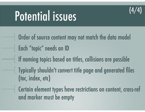

#### Potential issues

- Order of source content may not match the data model Each "topic" needs an ID If naming topics based on titles, collisions are possible Typically shouldn't convert title page and generated files (toc, index, etc)
- Certain element types have restrictions on content, cross-ref and marker must be empty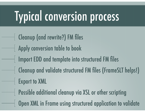## Typical conversion process

Cleanup (and rewrite?) FM files Apply conversion table to book | Import EDD and template into structured FM files Cleanup and validate structured FM files (FrameSLT helps!) **Export to XML** Possible additional cleanup via XSL or other scripting **Open XML in Frame using structured application to validate**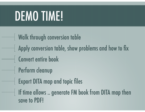## DEMO TIME!

Walk through conversion table Apply conversion table, show problems and how to fix Convert entire book Perform cleanup Export DITA map and topic files If time allows .. generate FM book from DITA map then save to PDF!